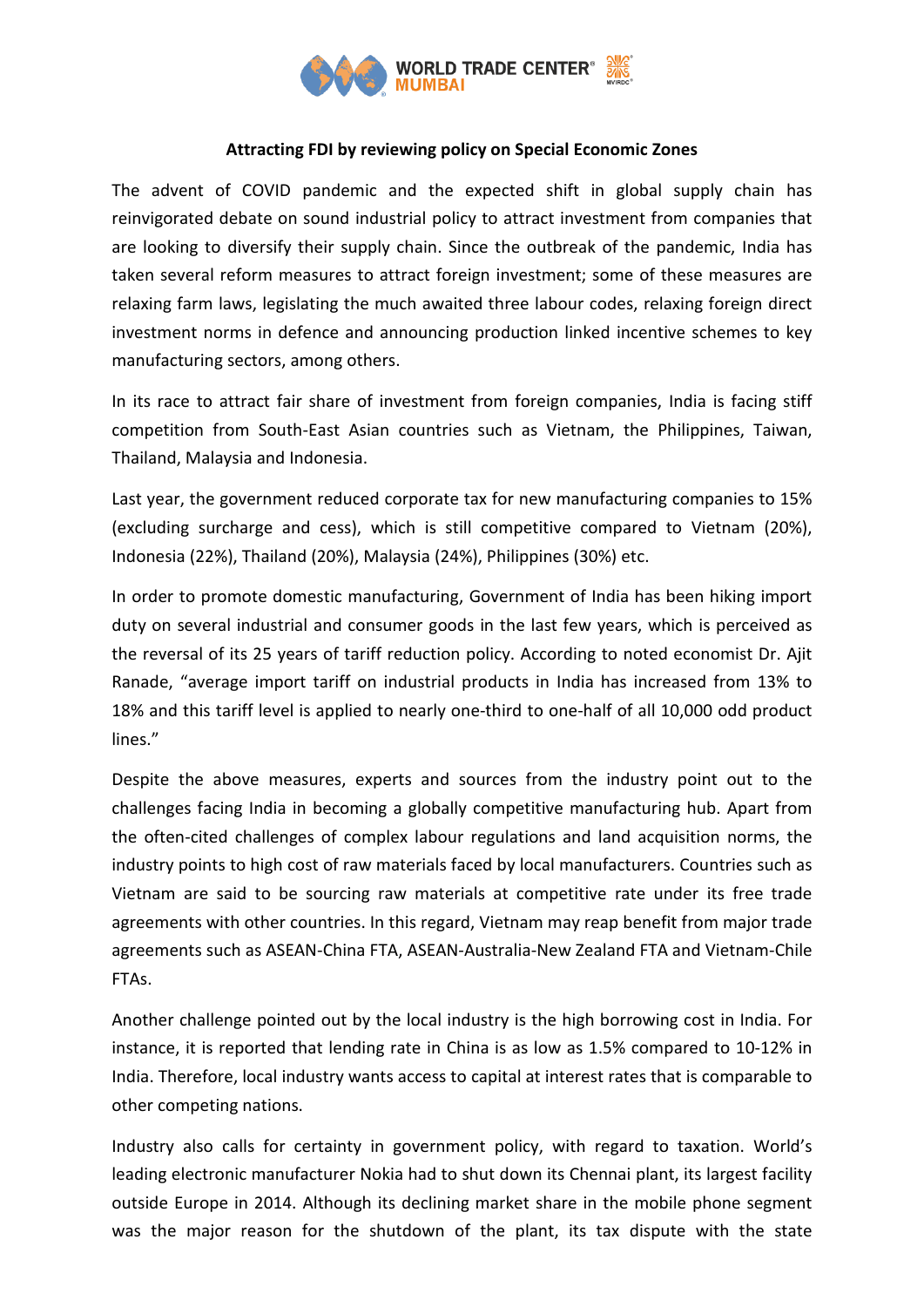

## **Attracting FDI by reviewing policy on Special Economic Zones**

The advent of COVID pandemic and the expected shift in global supply chain has reinvigorated debate on sound industrial policy to attract investment from companies that are looking to diversify their supply chain. Since the outbreak of the pandemic, India has taken several reform measures to attract foreign investment; some of these measures are relaxing farm laws, legislating the much awaited three labour codes, relaxing foreign direct investment norms in defence and announcing production linked incentive schemes to key manufacturing sectors, among others.

In its race to attract fair share of investment from foreign companies, India is facing stiff competition from South-East Asian countries such as Vietnam, the Philippines, Taiwan, Thailand, Malaysia and Indonesia.

Last year, the government reduced corporate tax for new manufacturing companies to 15% (excluding surcharge and cess), which is still competitive compared to Vietnam (20%), Indonesia (22%), Thailand (20%), Malaysia (24%), Philippines (30%) etc.

In order to promote domestic manufacturing, Government of India has been hiking import duty on several industrial and consumer goods in the last few years, which is perceived as the reversal of its 25 years of tariff reduction policy. According to noted economist Dr. Ajit Ranade, "average import tariff on industrial products in India has increased from 13% to 18% and this tariff level is applied to nearly one-third to one-half of all 10,000 odd product lines."

Despite the above measures, experts and sources from the industry point out to the challenges facing India in becoming a globally competitive manufacturing hub. Apart from the often-cited challenges of complex labour regulations and land acquisition norms, the industry points to high cost of raw materials faced by local manufacturers. Countries such as Vietnam are said to be sourcing raw materials at competitive rate under its free trade agreements with other countries. In this regard, Vietnam may reap benefit from major trade agreements such as ASEAN-China FTA, ASEAN-Australia-New Zealand FTA and Vietnam-Chile FTAs.

Another challenge pointed out by the local industry is the high borrowing cost in India. For instance, it is reported that lending rate in China is as low as 1.5% compared to 10-12% in India. Therefore, local industry wants access to capital at interest rates that is comparable to other competing nations.

Industry also calls for certainty in government policy, with regard to taxation. World's leading electronic manufacturer Nokia had to shut down its Chennai plant, its largest facility outside Europe in 2014. Although its declining market share in the mobile phone segment was the major reason for the shutdown of the plant, its tax dispute with the state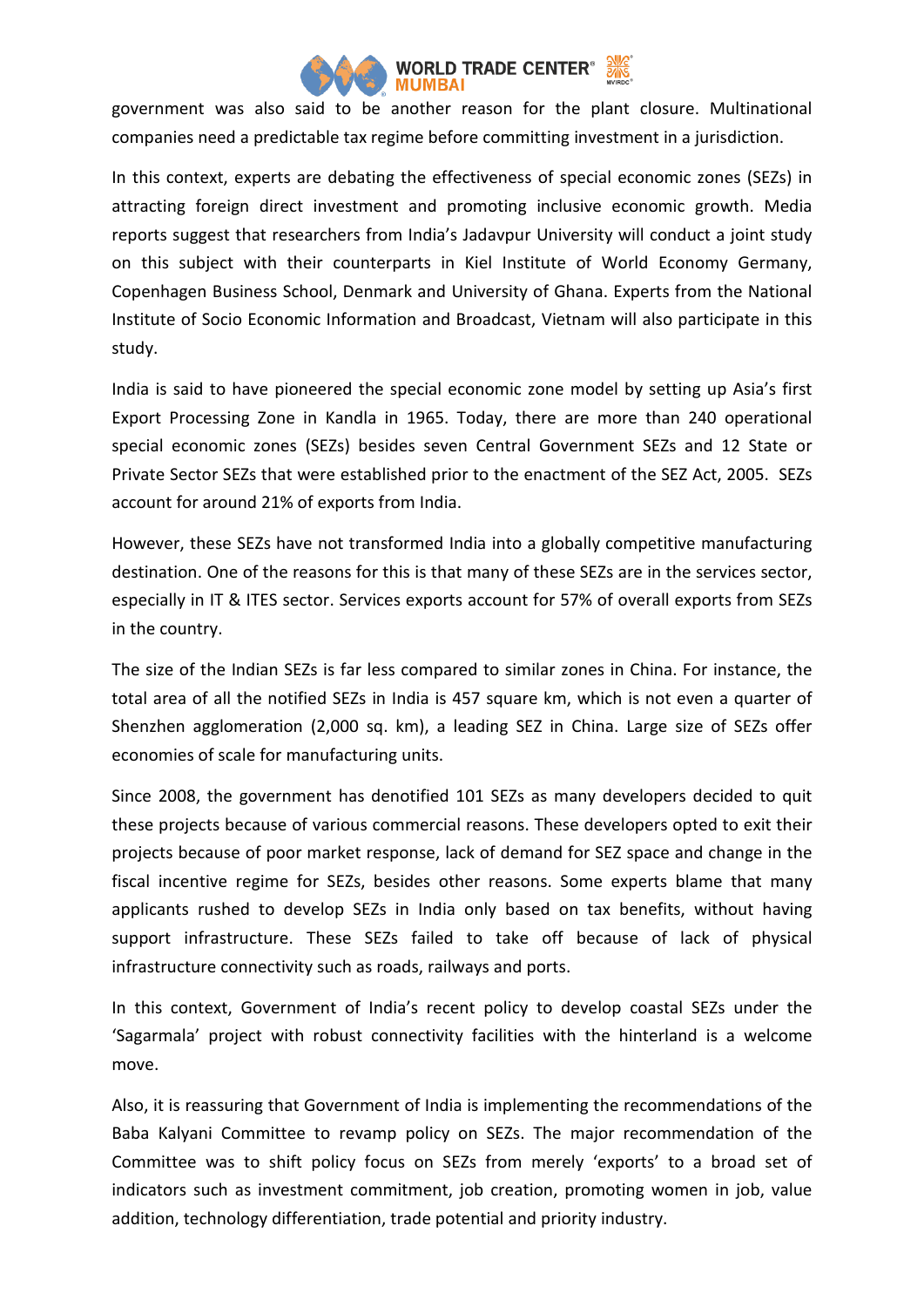

government was also said to be another reason for the plant closure. Multinational companies need a predictable tax regime before committing investment in a jurisdiction.

In this context, experts are debating the effectiveness of special economic zones (SEZs) in attracting foreign direct investment and promoting inclusive economic growth. Media reports suggest that researchers from India's Jadavpur University will conduct a joint study on this subject with their counterparts in Kiel Institute of World Economy Germany, Copenhagen Business School, Denmark and University of Ghana. Experts from the National Institute of Socio Economic Information and Broadcast, Vietnam will also participate in this study.

India is said to have pioneered the special economic zone model by setting up Asia's first Export Processing Zone in Kandla in 1965. Today, there are more than 240 operational special economic zones (SEZs) besides seven Central Government SEZs and 12 State or Private Sector SEZs that were established prior to the enactment of the SEZ Act, 2005. SEZs account for around 21% of exports from India.

However, these SEZs have not transformed India into a globally competitive manufacturing destination. One of the reasons for this is that many of these SEZs are in the services sector, especially in IT & ITES sector. Services exports account for 57% of overall exports from SEZs in the country.

The size of the Indian SEZs is far less compared to similar zones in China. For instance, the total area of all the notified SEZs in India is 457 square km, which is not even a quarter of Shenzhen agglomeration (2,000 sq. km), a leading SEZ in China. Large size of SEZs offer economies of scale for manufacturing units.

Since 2008, the government has denotified 101 SEZs as many developers decided to quit these projects because of various commercial reasons. These developers opted to exit their projects because of poor market response, lack of demand for SEZ space and change in the fiscal incentive regime for SEZs, besides other reasons. Some experts blame that many applicants rushed to develop SEZs in India only based on tax benefits, without having support infrastructure. These SEZs failed to take off because of lack of physical infrastructure connectivity such as roads, railways and ports.

In this context, Government of India's recent policy to develop coastal SEZs under the 'Sagarmala' project with robust connectivity facilities with the hinterland is a welcome move.

Also, it is reassuring that Government of India is implementing the recommendations of the Baba Kalyani Committee to revamp policy on SEZs. The major recommendation of the Committee was to shift policy focus on SEZs from merely 'exports' to a broad set of indicators such as investment commitment, job creation, promoting women in job, value addition, technology differentiation, trade potential and priority industry.